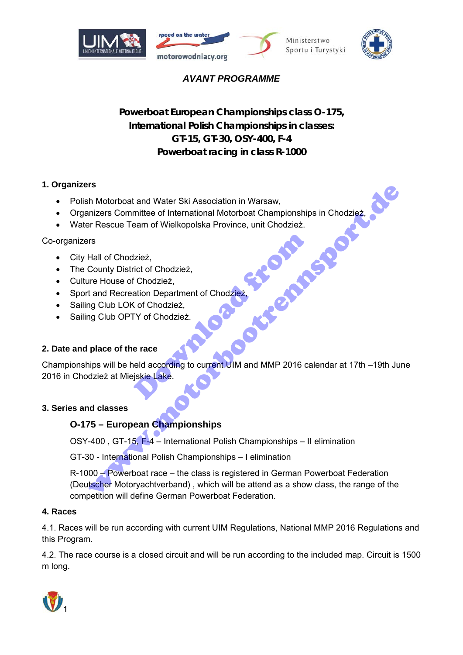







# *AVANT PROGRAMME*

# *Powerboat European Championships class O-175, International Polish Championships in classes: GT-15, GT-30, OSY-400, F-4 Powerboat racing in class R-1000*

## **1. Organizers**

- Polish Motorboat and Water Ski Association in Warsaw,
- **Organizers Committee of International Motorboat Championships in Chodzież,**
- Water Rescue Team of Wielkopolska Province, unit Chodzież.

## Co-organizers

- City Hall of Chodzież,
- The County District of Chodzież,
- Culture House of Chodzież,
- Sport and Recreation Department of Chodzież,
- Sailing Club LOK of Chodzież,
- Sailing Club OPTY of Chodzież.

## **2. Date and place of the race**

Championships will be held according to current UIM and MMP 2016 calendar at 17th –19th June 2016 in Chodzież at Miejskie Lake. Izież,<br>ict of Chodzież,<br>f Chodzież,<br>ation Department of Chodzie**ż,**<br>C of Chodzież,<br>P of Chodzież,<br>e race<br>eld according to current UIM and MMP 2016 ca<br>jskie Lake.

#### **3. Series and classes**

## **O-175 – European Championships**

OSY-400 , GT-15, F-4 – International Polish Championships – II elimination

GT-30 - International Polish Championships – I elimination

R-1000 – Powerboat race – the class is registered in German Powerboat Federation (Deutscher Motoryachtverband) , which will be attend as a show class, the range of the competition will define German Powerboat Federation. The Motorboot and Water Ski Association in Warsaw,<br>
In Motorboot and Water Ski Association in Warsaw,<br>
Indicates The Rescue Team of Wielkopolska Province, unit Chodzież,<br>
The House of Chodzież,<br>
The House of Chodzież,<br>
The

#### **4. Races**

4.1. Races will be run according with current UIM Regulations, National MMP 2016 Regulations and this Program.

4.2. The race course is a closed circuit and will be run according to the included map. Circuit is 1500 m long.

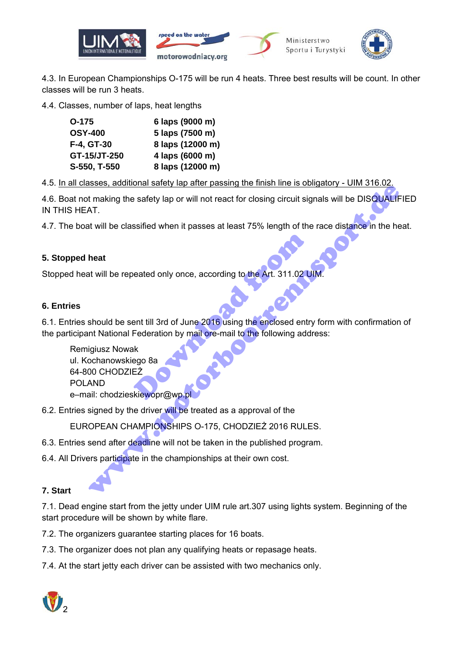

4.3. In European Championships O-175 will be run 4 heats. Three best results will be count. In other classes will be run 3 heats.

4.4. Classes, number of laps, heat lengths

| $O-175$        | 6 laps (9000 m)  |
|----------------|------------------|
| <b>OSY-400</b> | 5 laps (7500 m)  |
| F-4, GT-30     | 8 laps (12000 m) |
| GT-15/JT-250   | 4 laps (6000 m)  |
| S-550, T-550   | 8 laps (12000 m) |

4.5. In all classes, additional safety lap after passing the finish line is obligatory - UIM 316.02.

4.6. Boat not making the safety lap or will not react for closing circuit signals will be DISQUALIFIED IN THIS HEAT.

4.7. The boat will be classified when it passes at least 75% length of the race distance in the heat.

#### **5. Stopped heat**

Stopped heat will be repeated only once, according to the Art. 311.02 UIN.

#### **6. Entries**

6.1. Entries should be sent till 3rd of June 2016 using the enclosed entry form with confirmation of the participant National Federation by mail ore-mail to the following address: eated only once, according to the Art. 311.02 U<br>
eated only once, according to the Art. 311.02 U<br>
eater till 3rd of June 2016 using the enclosed entr<br>
Federation by mail ore-mail to the following add<br>
Likities<br>
EZ<br>
Kiewopr www.motorbootrennsport.de

 Remigiusz Nowak ul. Kochanowskiego 8a 64-800 CHODZIEŻ POLAND e-mail: chodzieskiewopr@wp.p

6.2. Entries signed by the driver will be treated as a approval of the

EUROPEAN CHAMPIONSHIPS O-175, CHODZIEŻ 2016 RULES.

- 6.3. Entries send after deadline will not be taken in the published program.
- 6.4. All Drivers participate in the championships at their own cost.

## **7. Start**

7.1. Dead engine start from the jetty under UIM rule art.307 using lights system. Beginning of the start procedure will be shown by white flare.

7.2. The organizers guarantee starting places for 16 boats.

- 7.3. The organizer does not plan any qualifying heats or repasage heats.
- 7.4. At the start jetty each driver can be assisted with two mechanics only.

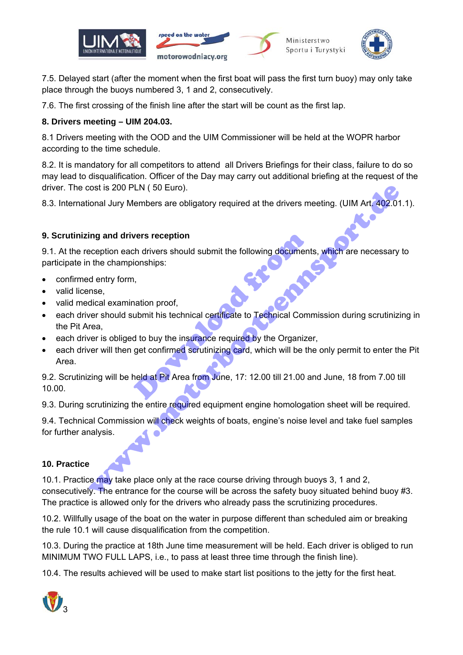



7.5. Delayed start (after the moment when the first boat will pass the first turn buoy) may only take place through the buoys numbered 3, 1 and 2, consecutively.

7.6. The first crossing of the finish line after the start will be count as the first lap.

# **8. Drivers meeting – UIM 204.03.**

8.1 Drivers meeting with the OOD and the UIM Commissioner will be held at the WOPR harbor according to the time schedule.

8.2. It is mandatory for all competitors to attend all Drivers Briefings for their class, failure to do so may lead to disqualification. Officer of the Day may carry out additional briefing at the request of the driver. The cost is 200 PLN ( 50 Euro).

8.3. International Jury Members are obligatory required at the drivers meeting. (UIM Art. 402.01.1).

# **9. Scrutinizing and drivers reception**

9.1. At the reception each drivers should submit the following documents, which are necessary to participate in the championships:

- confirmed entry form,
- valid license,
- valid medical examination proof,
- each driver should submit his technical certificate to Technical Commission during scrutinizing in the Pit Area, vers reception<br>
th drivers should submit the following document<br>
ionships:<br>
1,<br>
nation proof,<br>
ubmit his technical certificate to Technical Com<br>
d to buy the insurance required by the Organize<br>
get confirmed scrutinizing c contine and diverse reception<br>
in and drivers reception<br>
ing and drivers reception<br>
ing and drivers reception<br>
the championships:<br>
the championships:<br>
the championships:<br>
the championships:<br>
the championships:<br>
the champio
- each driver is obliged to buy the insurance required by the Organizer,
- each driver will then get confirmed scrutinizing card, which will be the only permit to enter the Pit Area.

9.2. Scrutinizing will be held at Pit Area from June, 17: 12.00 till 21.00 and June, 18 from 7.00 till 10.00.

9.3. During scrutinizing the entire required equipment engine homologation sheet will be required.

9.4. Technical Commission will check weights of boats, engine's noise level and take fuel samples for further analysis.

## **10. Practice**

10.1. Practice may take place only at the race course driving through buoys 3, 1 and 2, consecutively. The entrance for the course will be across the safety buoy situated behind buoy #3. The practice is allowed only for the drivers who already pass the scrutinizing procedures.

10.2. Willfully usage of the boat on the water in purpose different than scheduled aim or breaking the rule 10.1 will cause disqualification from the competition.

10.3. During the practice at 18th June time measurement will be held. Each driver is obliged to run MINIMUM TWO FULL LAPS, i.e., to pass at least three time through the finish line).

10.4. The results achieved will be used to make start list positions to the jetty for the first heat.

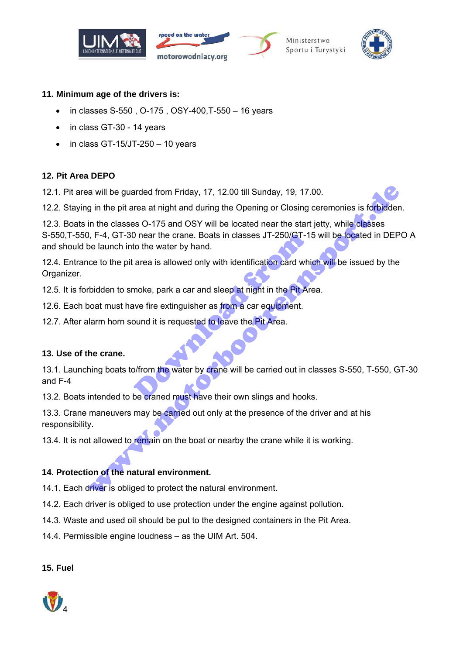







#### **11. Minimum age of the drivers is:**

- in classes S-550 , O-175 , OSY-400,T-550 16 years
- in class GT-30 14 years
- $\bullet$  in class GT-15/JT-250 10 years

## **12. Pit Area DEPO**

12.1. Pit area will be guarded from Friday, 17, 12.00 till Sunday, 19, 17.00.

12.2. Staying in the pit area at night and during the Opening or Closing ceremonies is forbidden.

12.3. Boats in the classes O-175 and OSY will be located near the start jetty, while classes S-550,T-550, F-4, GT-30 near the crane. Boats in classes JT-250/GT-15 will be located in DEPO A and should be launch into the water by hand. a will be guarded from Friday, 17, 12.00 till Sunday, 19, 17.00.<br>
g in the pit area at night and during the Opening or Closing ceremonies is forbidder<br>
in the classes O-175 and OSY will be located near the start jetty, whi

12.4. Entrance to the pit area is allowed only with identification card which will be issued by the Organizer.

12.5. It is forbidden to smoke, park a car and sleep at night in the Pit Area.

12.6. Each boat must have fire extinguisher as from a car equipment.

12.7. After alarm horn sound it is requested to leave the Pit Area.

#### **13. Use of the crane.**

13.1. Launching boats to/from the water by crane will be carried out in classes S-550, T-550, GT-30 and F-4 Do near the crane. Boats in classes JT-250/GT-1<br>to the water by hand.<br>area is allowed only with identification card which<br>moke, park a car and sleep at night in the Pit Area<br>we fire extinguisher as from a car equipment.<br>bu

13.2. Boats intended to be craned must have their own slings and hooks.

13.3. Crane maneuvers may be carried out only at the presence of the driver and at his responsibility.

13.4. It is not allowed to remain on the boat or nearby the crane while it is working.

#### **14. Protection of the natural environment.**

14.1. Each driver is obliged to protect the natural environment.

14.2. Each driver is obliged to use protection under the engine against pollution.

14.3. Waste and used oil should be put to the designed containers in the Pit Area.

14.4. Permissible engine loudness – as the UIM Art. 504.

#### **15. Fuel**

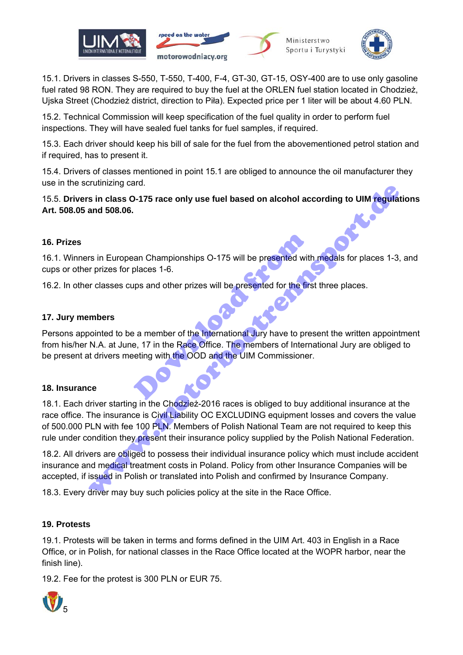

15.1. Drivers in classes S-550, T-550, T-400, F-4, GT-30, GT-15, OSY-400 are to use only gasoline fuel rated 98 RON. They are required to buy the fuel at the ORLEN fuel station located in Chodzież, Ujska Street (Chodzież district, direction to Piła). Expected price per 1 liter will be about 4.60 PLN.

15.2. Technical Commission will keep specification of the fuel quality in order to perform fuel inspections. They will have sealed fuel tanks for fuel samples, if required.

15.3. Each driver should keep his bill of sale for the fuel from the abovementioned petrol station and if required, has to present it.

15.4. Drivers of classes mentioned in point 15.1 are obliged to announce the oil manufacturer they use in the scrutinizing card.

#### 15.5. **Drivers in class O-175 race only use fuel based on alcohol according to UIM regulations Art. 508.05 and 508.06.**

#### **16. Prizes**

16.1. Winners in European Championships O-175 will be presented with medals for places 1-3, and cups or other prizes for places 1-6.

16.2. In other classes cups and other prizes will be presented for the first three places.

#### **17. Jury members**

Persons appointed to be a member of the International Jury have to present the written appointment from his/her N.A. at June, 17 in the Race Office. The members of International Jury are obliged to be present at drivers meeting with the OOD and the UIM Commissioner. exame Championships O-175 will be presented with<br>places 1-6.<br>ups and other prizes will be presented for the first<br>examends of the International Jury have to pre-<br>eting with the OOD and the UIM Commissioner

#### **18. Insurance**

18.1. Each driver starting in the Chodzież-2016 races is obliged to buy additional insurance at the race office. The insurance is Civil Liability OC EXCLUDING equipment losses and covers the value of 500.000 PLN with fee 100 PLN. Members of Polish National Team are not required to keep this rule under condition they present their insurance policy supplied by the Polish National Federation. is in class 0-175 race only use fuel based on alcohol according to UIM regular<br>and 508.06.<br>The prizes for places 1-6.<br>The prizes for places 1-6.<br>The prizes for places 1-6.<br>The prizes for places 1-6.<br>The prizes for places 1

18.2. All drivers are obliged to possess their individual insurance policy which must include accident insurance and medical treatment costs in Poland. Policy from other Insurance Companies will be accepted, if issued in Polish or translated into Polish and confirmed by Insurance Company.

18.3. Every driver may buy such policies policy at the site in the Race Office.

#### **19. Protests**

19.1. Protests will be taken in terms and forms defined in the UIM Art. 403 in English in a Race Office, or in Polish, for national classes in the Race Office located at the WOPR harbor, near the finish line).

19.2. Fee for the protest is 300 PLN or EUR 75.

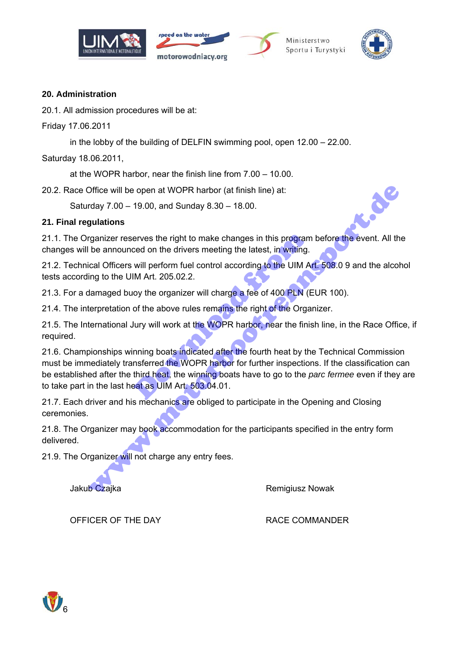







#### **20. Administration**

20.1. All admission procedures will be at:

Friday 17.06.2011

in the lobby of the building of DELFIN swimming pool, open 12.00 – 22.00.

Saturday 18.06.2011,

at the WOPR harbor, near the finish line from 7.00 – 10.00.

20.2. Race Office will be open at WOPR harbor (at finish line) at:

Saturday 7.00 – 19.00, and Sunday 8.30 – 18.00.

#### **21. Final regulations**

21.1. The Organizer reserves the right to make changes in this program before the event. All the changes will be announced on the drivers meeting the latest, in writing.

21.2. Technical Officers will perform fuel control according to the UIM Art. 508.0 9 and the alcohol tests according to the UIM Art. 205.02.2.

21.3. For a damaged buoy the organizer will charge a fee of 400 PLN (EUR 100).

21.4. The interpretation of the above rules remains the right of the Organizer.

21.5. The International Jury will work at the WOPR harbor, near the finish line, in the Race Office, if required.

21.6. Championships winning boats indicated after the fourth heat by the Technical Commission must be immediately transferred the WOPR harbor for further inspections. If the classification can be established after the third heat, the winning boats have to go to the *parc fermee* even if they are to take part in the last heat as UIM Art. 503.04.01. erves the right to make changes in this program<br>ced on the drivers meeting the latest, in writing.<br>will perform fuel control according to the UIM A<br>IM Art. 205.02.2.<br>oy the organizer will charge a fee of 400 PLN (E<br>of the Office will be open at WOPR harbor (at finish line) at:<br>
rday 7.00 – 19.00, and Sunday 8.30 – 18.00.<br>
gulations<br>
gulations<br>
gulations<br>
diverse are reserves the right to make changes in this program before the event. All th

21.7. Each driver and his mechanics are obliged to participate in the Opening and Closing ceremonies.

21.8. The Organizer may book accommodation for the participants specified in the entry form delivered.

21.9. The Organizer will not charge any entry fees.

Jakub Czajka **Remigiusz Nowak** Remigiusz Nowak

OFFICER OF THE DAY THE RACE COMMANDER

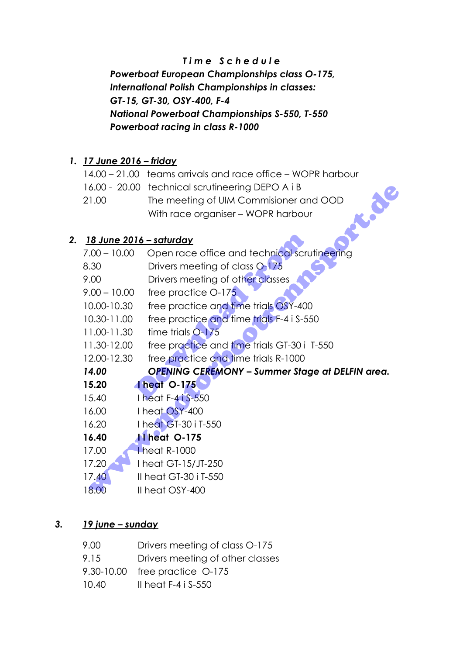# *T i m e S c h e d u l e*

 *Powerboat European Championships class O-175, International Polish Championships in classes: GT-15, GT-30, OSY-400, F-4 National Powerboat Championships S-550, T-550 Powerboat racing in class R-1000* 

# *1. 17 June 2016 – friday*

|       | 14.00 – 21.00 teams arrivals and race office – WOPR harbour |  |
|-------|-------------------------------------------------------------|--|
|       | 16.00 - 20.00 technical scrutineering DEPO A i B            |  |
| 21.00 | The meeting of UIM Commisioner and OOD                      |  |
|       | With race organiser - WOPR harbour                          |  |

# *2. 18 June 2016 – saturday*

|                | 16.00 - 20.00 technical scrutineering DEPO A i B       |
|----------------|--------------------------------------------------------|
| 21.00          | J<br>The meeting of UIM Commisioner and OOD            |
|                | With race organiser - WOPR harbour                     |
|                |                                                        |
|                | <u> 18 June 2016 – saturday</u>                        |
| $7.00 - 10.00$ | Open race office and technical scrutineering           |
| 8.30           | Drivers meeting of class 0-175                         |
| 9.00           | Drivers meeting of other classes                       |
| $9.00 - 10.00$ | free practice O-175                                    |
| 10.00-10.30    | free practice and time trials OSY-400                  |
| 10.30-11.00    | free practice and time trials F-4 i S-550              |
| 11.00-11.30    | time trials 0-175                                      |
| 11.30-12.00    | free practice and time trials GT-30 i T-550            |
| 12.00-12.30    | free practice and time trials R-1000                   |
| 14.00          | <b>OPENING CEREMONY - Summer Stage at DELFIN area.</b> |
| 15.20          | <b>Theat 0-175</b>                                     |
| 15.40          | I heat F-41 \$-550                                     |
| 16.00          | I heat OSY-400                                         |
| 16.20          | I heat GT-30 i T-550                                   |
| 16.40          | <b>11 heat 0-175</b>                                   |
| 17.00          | I heat R-1000                                          |
| 17.20          | I heat GT-15/JT-250                                    |
| 17.40          | Il heat GT-30 i T-550                                  |
| 18.00          | Il heat OSY-400                                        |
|                |                                                        |

# *3. 19 june – sunday*

| 9.00  | Drivers meeting of class 0-175   |
|-------|----------------------------------|
| 9.15  | Drivers meeting of other classes |
|       | 9.30-10.00 free practice O-175   |
| 10.40 | Il heat $F-4$ i S-550            |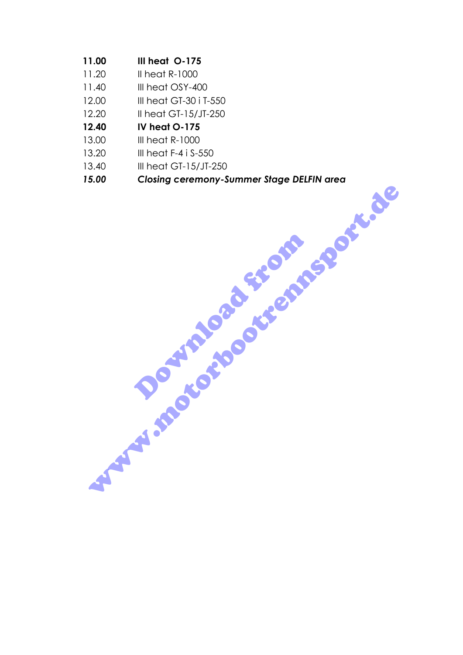- **11.00 III heat O-175**
- 11.20 II heat R-1000
- 11.40 III heat OSY-400
- 12.00 III heat GT-30 i T-550
- 12.20 II heat GT-15/JT-250
- **12.40 IV heat O-175**
- 13.00 III heat R-1000
- 13.20 III heat F-4 i S-550
- 13.40 III heat GT-15/JT-250
	- *15.00 Closing ceremony-Summer Stage DELFIN area*  www.motorbootremsport.de

Download from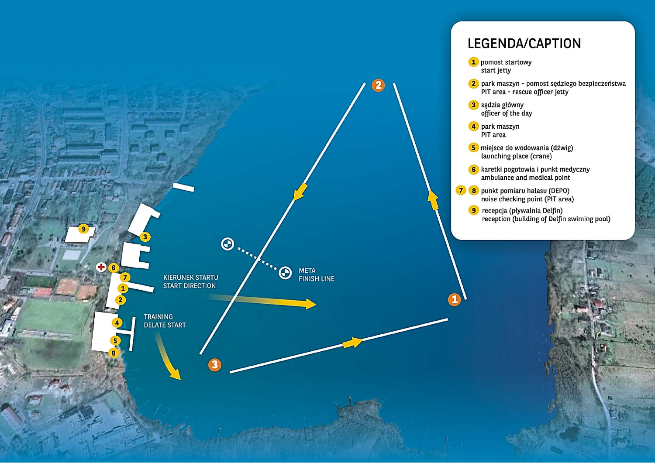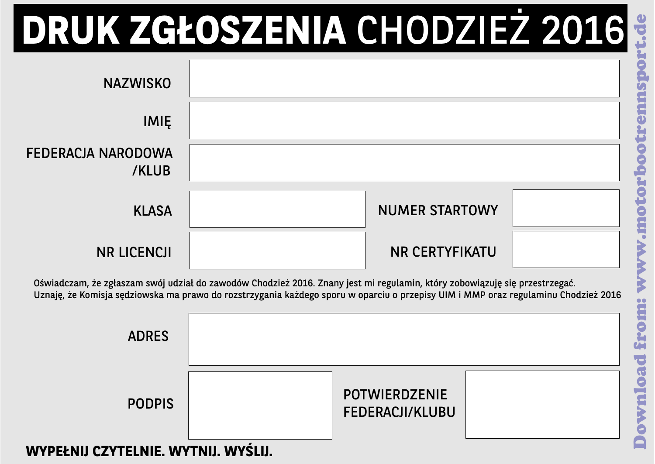

Oświadczam, że zgłaszam swói udział do zawodów Chodzież 2016. Znany jest mi regulamin, który zobowiazuje się przestrzegać. Uznaje, że Komisia sedziowska ma prawo do rozstrzygania każdego sporu w oparcju o przepisy UJM i MMP oraz regulaminu Chodzież 2016

| <b>ADRES</b>                        |  |                                         |  |
|-------------------------------------|--|-----------------------------------------|--|
| <b>PODPIS</b>                       |  | <b>POTWIERDZENIE</b><br>FEDERACJI/KLUBU |  |
| WYPEŁNIJ CZYTELNIE. WYTNIJ. WYŚLIJ. |  |                                         |  |